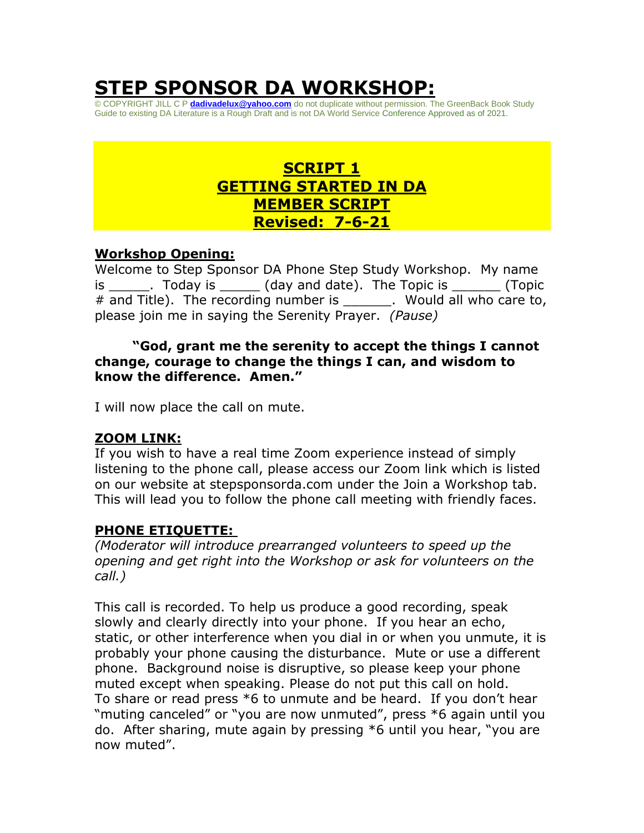# **STEP SPONSOR DA WORKSHOP:**

© COPYRIGHT JILL C P **[dadivadelux@yahoo.com](mailto:dadivadelux@yahoo.com)** do not duplicate without permission. The GreenBack Book Study Guide to existing DA Literature is a Rough Draft and is not DA World Service Conference Approved as of 2021.

# **SCRIPT 1 GETTING STARTED IN DA MEMBER SCRIPT Revised: 7-6-21**

#### **Workshop Opening:**

Welcome to Step Sponsor DA Phone Step Study Workshop. My name is a Loday is the Clay and date). The Topic is the Topic is the Topic is the Topic # and Title). The recording number is The Would all who care to, please join me in saying the Serenity Prayer. *(Pause)*

#### **"God, grant me the serenity to accept the things I cannot change, courage to change the things I can, and wisdom to know the difference. Amen."**

I will now place the call on mute.

## **ZOOM LINK:**

If you wish to have a real time Zoom experience instead of simply listening to the phone call, please access our Zoom link which is listed on our website at stepsponsorda.com under the Join a Workshop tab. This will lead you to follow the phone call meeting with friendly faces.

#### **PHONE ETIQUETTE:**

*(Moderator will introduce prearranged volunteers to speed up the opening and get right into the Workshop or ask for volunteers on the call.)* 

This call is recorded. To help us produce a good recording, speak slowly and clearly directly into your phone. If you hear an echo, static, or other interference when you dial in or when you unmute, it is probably your phone causing the disturbance. Mute or use a different phone. Background noise is disruptive, so please keep your phone muted except when speaking. Please do not put this call on hold. To share or read press \*6 to unmute and be heard. If you don't hear "muting canceled" or "you are now unmuted", press \*6 again until you do. After sharing, mute again by pressing \*6 until you hear, "you are now muted".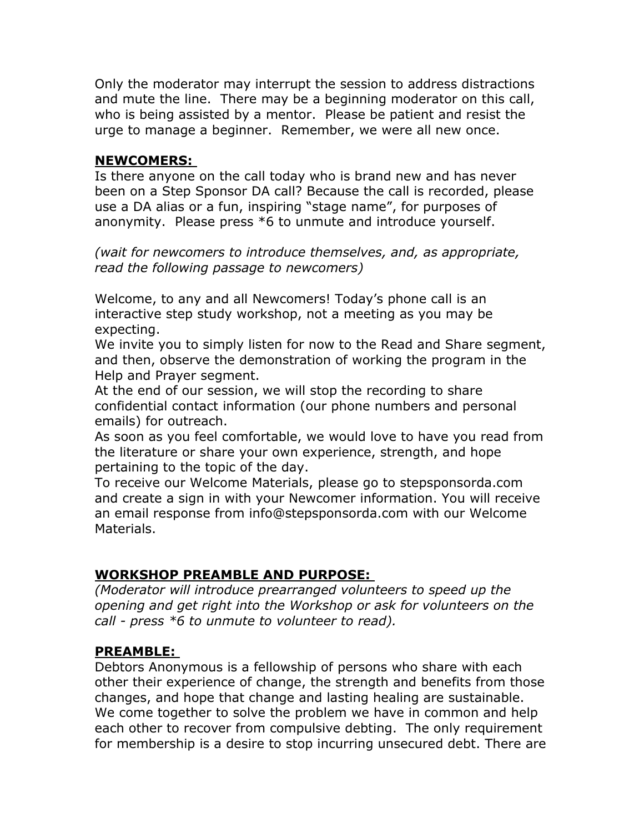Only the moderator may interrupt the session to address distractions and mute the line. There may be a beginning moderator on this call, who is being assisted by a mentor. Please be patient and resist the urge to manage a beginner. Remember, we were all new once.

#### **NEWCOMERS:**

Is there anyone on the call today who is brand new and has never been on a Step Sponsor DA call? Because the call is recorded, please use a DA alias or a fun, inspiring "stage name", for purposes of anonymity. Please press \*6 to unmute and introduce yourself.

*(wait for newcomers to introduce themselves, and, as appropriate, read the following passage to newcomers)* 

Welcome, to any and all Newcomers! Today's phone call is an interactive step study workshop, not a meeting as you may be expecting.

We invite you to simply listen for now to the Read and Share segment, and then, observe the demonstration of working the program in the Help and Prayer segment.

At the end of our session, we will stop the recording to share confidential contact information (our phone numbers and personal emails) for outreach.

As soon as you feel comfortable, we would love to have you read from the literature or share your own experience, strength, and hope pertaining to the topic of the day.

To receive our Welcome Materials, please go to stepsponsorda.com and create a sign in with your Newcomer information. You will receive an email response from info@stepsponsorda.com with our Welcome Materials.

# **WORKSHOP PREAMBLE AND PURPOSE:**

*(Moderator will introduce prearranged volunteers to speed up the opening and get right into the Workshop or ask for volunteers on the call - press \*6 to unmute to volunteer to read).* 

## **PREAMBLE:**

Debtors Anonymous is a fellowship of persons who share with each other their experience of change, the strength and benefits from those changes, and hope that change and lasting healing are sustainable. We come together to solve the problem we have in common and help each other to recover from compulsive debting. The only requirement for membership is a desire to stop incurring unsecured debt. There are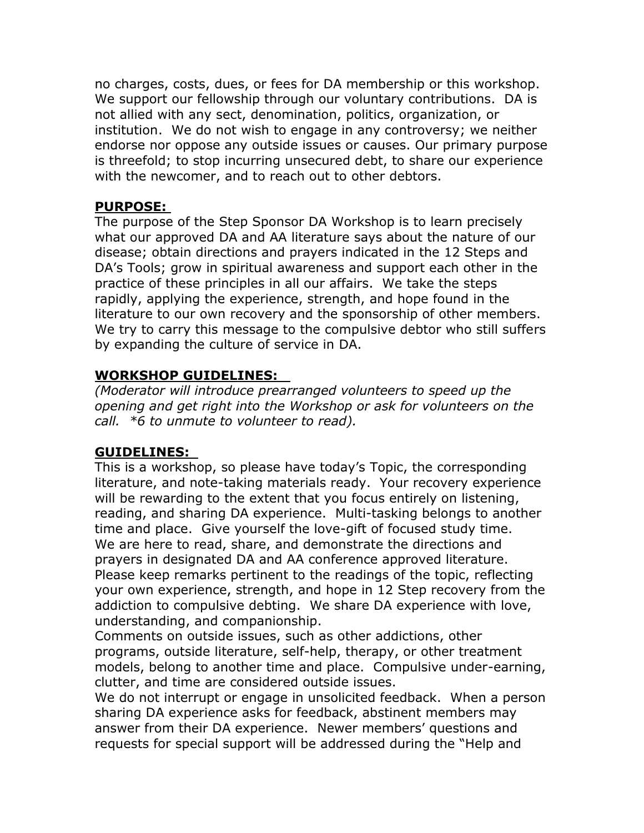no charges, costs, dues, or fees for DA membership or this workshop. We support our fellowship through our voluntary contributions. DA is not allied with any sect, denomination, politics, organization, or institution. We do not wish to engage in any controversy; we neither endorse nor oppose any outside issues or causes. Our primary purpose is threefold; to stop incurring unsecured debt, to share our experience with the newcomer, and to reach out to other debtors.

#### **PURPOSE:**

The purpose of the Step Sponsor DA Workshop is to learn precisely what our approved DA and AA literature says about the nature of our disease; obtain directions and prayers indicated in the 12 Steps and DA's Tools; grow in spiritual awareness and support each other in the practice of these principles in all our affairs. We take the steps rapidly, applying the experience, strength, and hope found in the literature to our own recovery and the sponsorship of other members. We try to carry this message to the compulsive debtor who still suffers by expanding the culture of service in DA.

## **WORKSHOP GUIDELINES:**

*(Moderator will introduce prearranged volunteers to speed up the opening and get right into the Workshop or ask for volunteers on the call. \*6 to unmute to volunteer to read).* 

## **GUIDELINES:**

This is a workshop, so please have today's Topic, the corresponding literature, and note-taking materials ready. Your recovery experience will be rewarding to the extent that you focus entirely on listening, reading, and sharing DA experience. Multi-tasking belongs to another time and place. Give yourself the love-gift of focused study time. We are here to read, share, and demonstrate the directions and prayers in designated DA and AA conference approved literature. Please keep remarks pertinent to the readings of the topic, reflecting your own experience, strength, and hope in 12 Step recovery from the addiction to compulsive debting. We share DA experience with love, understanding, and companionship.

Comments on outside issues, such as other addictions, other programs, outside literature, self-help, therapy, or other treatment models, belong to another time and place. Compulsive under-earning, clutter, and time are considered outside issues.

We do not interrupt or engage in unsolicited feedback. When a person sharing DA experience asks for feedback, abstinent members may answer from their DA experience. Newer members' questions and requests for special support will be addressed during the "Help and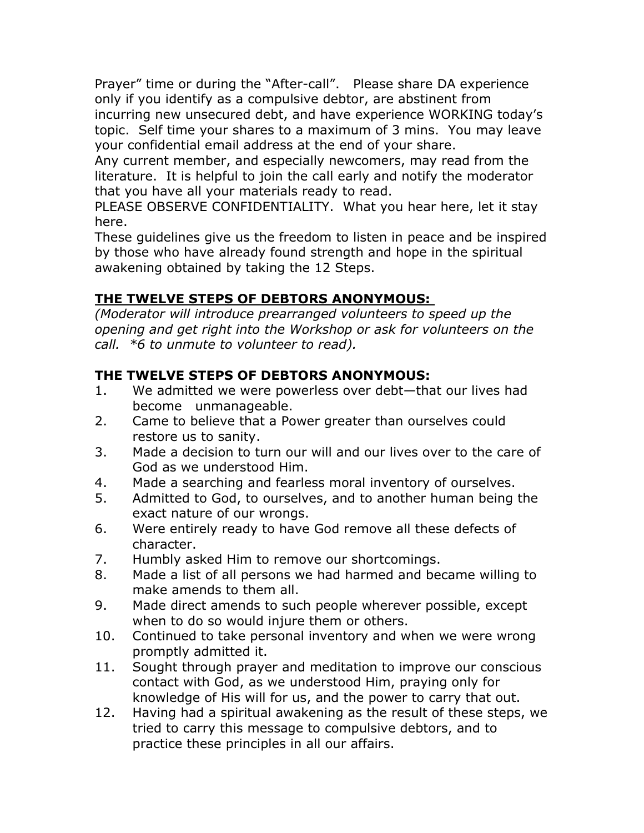Prayer" time or during the "After-call". Please share DA experience only if you identify as a compulsive debtor, are abstinent from incurring new unsecured debt, and have experience WORKING today's topic. Self time your shares to a maximum of 3 mins. You may leave your confidential email address at the end of your share.

Any current member, and especially newcomers, may read from the literature. It is helpful to join the call early and notify the moderator that you have all your materials ready to read.

PLEASE OBSERVE CONFIDENTIALITY. What you hear here, let it stay here.

These guidelines give us the freedom to listen in peace and be inspired by those who have already found strength and hope in the spiritual awakening obtained by taking the 12 Steps.

# **THE TWELVE STEPS OF DEBTORS ANONYMOUS:**

*(Moderator will introduce prearranged volunteers to speed up the opening and get right into the Workshop or ask for volunteers on the call. \*6 to unmute to volunteer to read).* 

# **THE TWELVE STEPS OF DEBTORS ANONYMOUS:**

- 1. We admitted we were powerless over debt—that our lives had become unmanageable.
- 2. Came to believe that a Power greater than ourselves could restore us to sanity.
- 3. Made a decision to turn our will and our lives over to the care of God as we understood Him.
- 4. Made a searching and fearless moral inventory of ourselves.
- 5. Admitted to God, to ourselves, and to another human being the exact nature of our wrongs.
- 6. Were entirely ready to have God remove all these defects of character.
- 7. Humbly asked Him to remove our shortcomings.
- 8. Made a list of all persons we had harmed and became willing to make amends to them all.
- 9. Made direct amends to such people wherever possible, except when to do so would injure them or others.
- 10. Continued to take personal inventory and when we were wrong promptly admitted it.
- 11. Sought through prayer and meditation to improve our conscious contact with God, as we understood Him, praying only for knowledge of His will for us, and the power to carry that out.
- 12. Having had a spiritual awakening as the result of these steps, we tried to carry this message to compulsive debtors, and to practice these principles in all our affairs.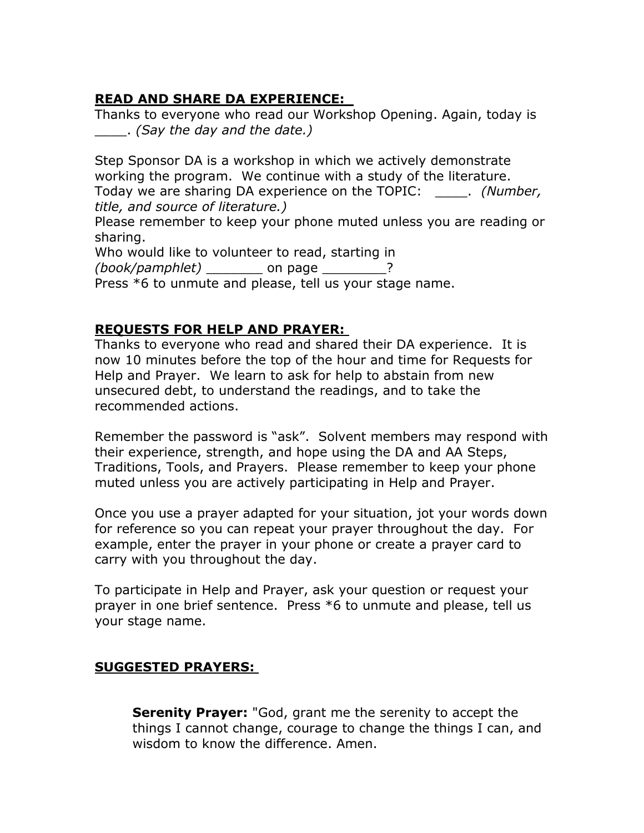# **READ AND SHARE DA EXPERIENCE:**

Thanks to everyone who read our Workshop Opening. Again, today is \_\_\_\_. *(Say the day and the date.)* 

Step Sponsor DA is a workshop in which we actively demonstrate working the program. We continue with a study of the literature. Today we are sharing DA experience on the TOPIC: \_\_\_\_. *(Number, title, and source of literature.)*

Please remember to keep your phone muted unless you are reading or sharing.

Who would like to volunteer to read, starting in

*(book/pamphlet)* \_\_\_\_\_\_\_ on page \_\_\_\_\_\_\_\_?

Press \*6 to unmute and please, tell us your stage name.

# **REQUESTS FOR HELP AND PRAYER:**

Thanks to everyone who read and shared their DA experience. It is now 10 minutes before the top of the hour and time for Requests for Help and Prayer. We learn to ask for help to abstain from new unsecured debt, to understand the readings, and to take the recommended actions.

Remember the password is "ask". Solvent members may respond with their experience, strength, and hope using the DA and AA Steps, Traditions, Tools, and Prayers. Please remember to keep your phone muted unless you are actively participating in Help and Prayer.

Once you use a prayer adapted for your situation, jot your words down for reference so you can repeat your prayer throughout the day. For example, enter the prayer in your phone or create a prayer card to carry with you throughout the day.

To participate in Help and Prayer, ask your question or request your prayer in one brief sentence. Press \*6 to unmute and please, tell us your stage name.

# **SUGGESTED PRAYERS:**

**Serenity Prayer:** "God, grant me the serenity to accept the things I cannot change, courage to change the things I can, and wisdom to know the difference. Amen.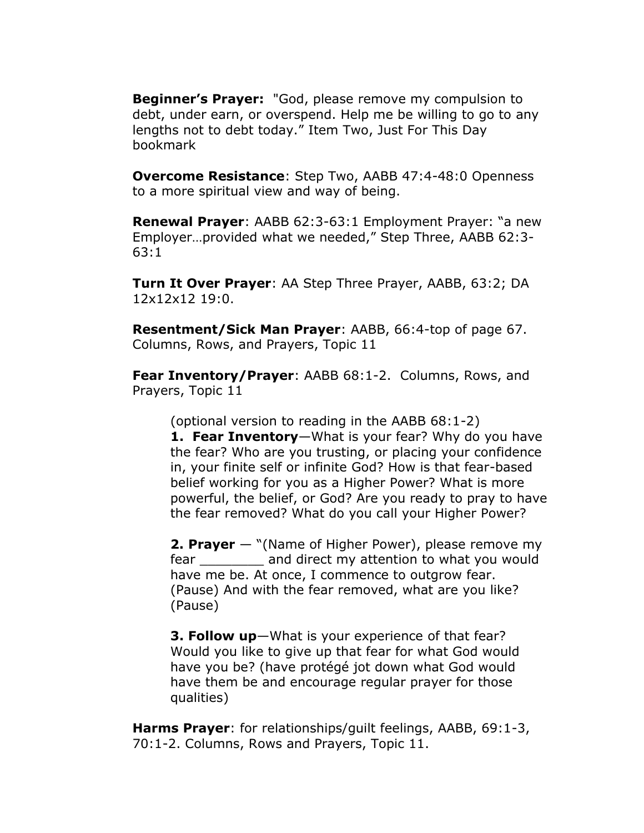**Beginner's Prayer:** "God, please remove my compulsion to debt, under earn, or overspend. Help me be willing to go to any lengths not to debt today." Item Two, Just For This Day bookmark

**Overcome Resistance**: Step Two, AABB 47:4-48:0 Openness to a more spiritual view and way of being.

**Renewal Prayer**: AABB 62:3-63:1 Employment Prayer: "a new Employer…provided what we needed," Step Three, AABB 62:3- 63:1

**Turn It Over Prayer**: AA Step Three Prayer, AABB, 63:2; DA 12x12x12 19:0.

**Resentment/Sick Man Prayer**: AABB, 66:4-top of page 67. Columns, Rows, and Prayers, Topic 11

**Fear Inventory/Prayer**: AABB 68:1-2. Columns, Rows, and Prayers, Topic 11

(optional version to reading in the AABB 68:1-2) **1. Fear Inventory**—What is your fear? Why do you have the fear? Who are you trusting, or placing your confidence in, your finite self or infinite God? How is that fear-based belief working for you as a Higher Power? What is more powerful, the belief, or God? Are you ready to pray to have the fear removed? What do you call your Higher Power?

**2. Prayer** — "(Name of Higher Power), please remove my fear and direct my attention to what you would have me be. At once, I commence to outgrow fear. (Pause) And with the fear removed, what are you like? (Pause)

**3. Follow up**—What is your experience of that fear? Would you like to give up that fear for what God would have you be? (have protégé jot down what God would have them be and encourage regular prayer for those qualities)

**Harms Prayer**: for relationships/guilt feelings, AABB, 69:1-3, 70:1-2. Columns, Rows and Prayers, Topic 11.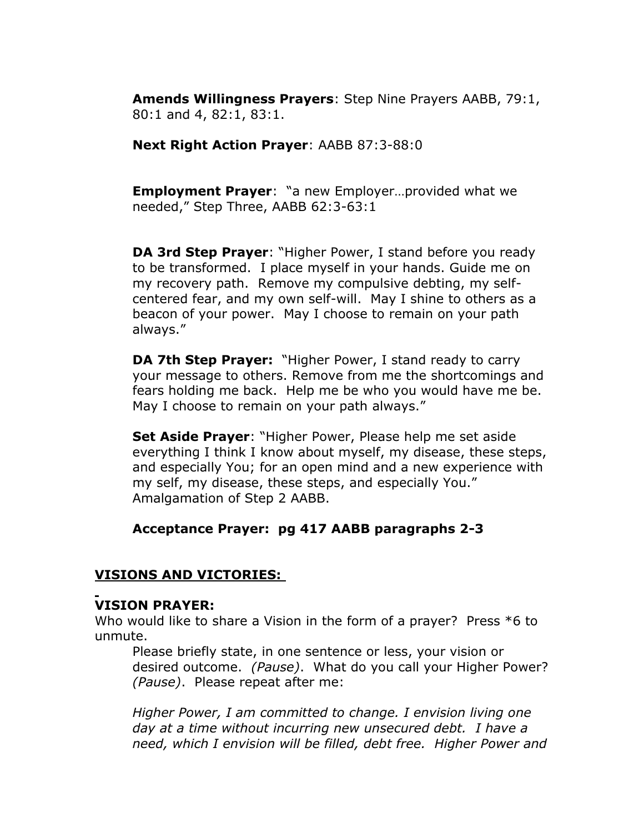**Amends Willingness Prayers**: Step Nine Prayers AABB, 79:1, 80:1 and 4, 82:1, 83:1.

**Next Right Action Prayer**: AABB 87:3-88:0

**Employment Prayer**: "a new Employer…provided what we needed," Step Three, AABB 62:3-63:1

**DA 3rd Step Prayer**: "Higher Power, I stand before you ready to be transformed. I place myself in your hands. Guide me on my recovery path. Remove my compulsive debting, my selfcentered fear, and my own self-will. May I shine to others as a beacon of your power. May I choose to remain on your path always."

**DA 7th Step Prayer:** "Higher Power, I stand ready to carry your message to others. Remove from me the shortcomings and fears holding me back. Help me be who you would have me be. May I choose to remain on your path always."

**Set Aside Prayer**: "Higher Power, Please help me set aside everything I think I know about myself, my disease, these steps, and especially You; for an open mind and a new experience with my self, my disease, these steps, and especially You." Amalgamation of Step 2 AABB.

#### **Acceptance Prayer: pg 417 AABB paragraphs 2-3**

## **VISIONS AND VICTORIES:**

## **VISION PRAYER:**

Who would like to share a Vision in the form of a prayer? Press \*6 to unmute.

Please briefly state, in one sentence or less, your vision or desired outcome. *(Pause)*. What do you call your Higher Power? *(Pause)*. Please repeat after me:

*Higher Power, I am committed to change. I envision living one day at a time without incurring new unsecured debt. I have a need, which I envision will be filled, debt free. Higher Power and*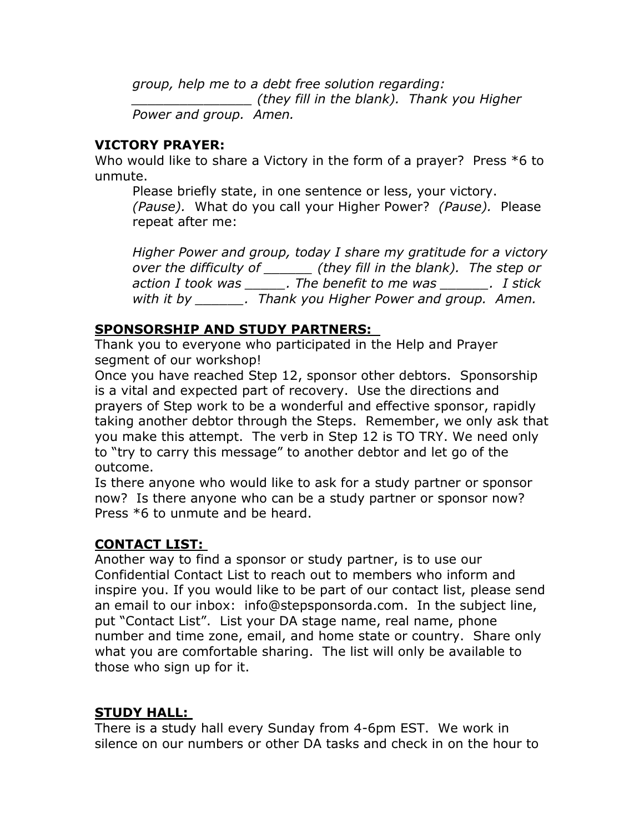*group, help me to a debt free solution regarding: \_\_\_\_\_\_\_\_\_\_\_\_\_\_\_ (they fill in the blank). Thank you Higher Power and group. Amen.*

## **VICTORY PRAYER:**

Who would like to share a Victory in the form of a prayer? Press \*6 to unmute.

Please briefly state, in one sentence or less, your victory. *(Pause).* What do you call your Higher Power? *(Pause).* Please repeat after me:

*Higher Power and group, today I share my gratitude for a victory over the difficulty of \_\_\_\_\_\_ (they fill in the blank). The step or action I took was \_\_\_\_\_. The benefit to me was \_\_\_\_\_\_. I stick with it by \_\_\_\_\_\_. Thank you Higher Power and group. Amen.* 

# **SPONSORSHIP AND STUDY PARTNERS:**

Thank you to everyone who participated in the Help and Prayer segment of our workshop!

Once you have reached Step 12, sponsor other debtors. Sponsorship is a vital and expected part of recovery. Use the directions and prayers of Step work to be a wonderful and effective sponsor, rapidly taking another debtor through the Steps. Remember, we only ask that you make this attempt. The verb in Step 12 is TO TRY. We need only to "try to carry this message" to another debtor and let go of the outcome.

Is there anyone who would like to ask for a study partner or sponsor now? Is there anyone who can be a study partner or sponsor now? Press \*6 to unmute and be heard.

# **CONTACT LIST:**

Another way to find a sponsor or study partner, is to use our Confidential Contact List to reach out to members who inform and inspire you. If you would like to be part of our contact list, please send an email to our inbox:info@stepsponsorda.com. In the subject line, put "Contact List". List your DA stage name, real name, phone number and time zone, email, and home state or country. Share only what you are comfortable sharing. The list will only be available to those who sign up for it.

# **STUDY HALL:**

There is a study hall every Sunday from 4-6pm EST. We work in silence on our numbers or other DA tasks and check in on the hour to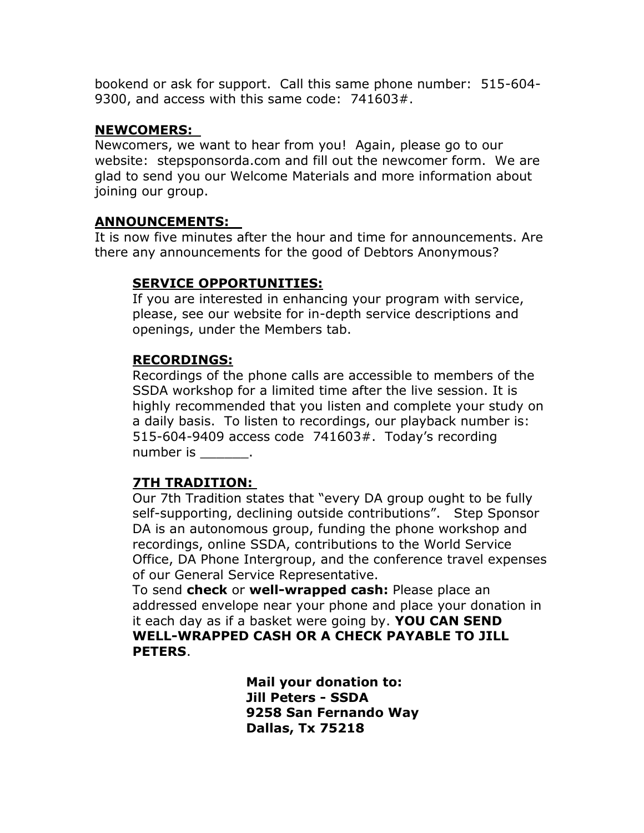bookend or ask for support. Call this same phone number: 515-604- 9300, and access with this same code: 741603#.

#### **NEWCOMERS:**

Newcomers, we want to hear from you! Again, please go to our website: stepsponsorda.com and fill out the newcomer form. We are glad to send you our Welcome Materials and more information about joining our group.

# **ANNOUNCEMENTS:**

It is now five minutes after the hour and time for announcements. Are there any announcements for the good of Debtors Anonymous?

## **SERVICE OPPORTUNITIES:**

If you are interested in enhancing your program with service, please, see our website for in-depth service descriptions and openings, under the Members tab.

## **RECORDINGS:**

Recordings of the phone calls are accessible to members of the SSDA workshop for a limited time after the live session. It is highly recommended that you listen and complete your study on a daily basis. To listen to recordings, our playback number is: 515-604-9409 access code 741603#. Today's recording number is  $\qquad \qquad$ .

## **7TH TRADITION:**

Our 7th Tradition states that "every DA group ought to be fully self-supporting, declining outside contributions". Step Sponsor DA is an autonomous group, funding the phone workshop and recordings, online SSDA, contributions to the World Service Office, DA Phone Intergroup, and the conference travel expenses of our General Service Representative.

To send **check** or **well-wrapped cash:** Please place an addressed envelope near your phone and place your donation in it each day as if a basket were going by. **YOU CAN SEND WELL-WRAPPED CASH OR A CHECK PAYABLE TO JILL PETERS**.

> **Mail your donation to: Jill Peters - SSDA 9258 San Fernando Way Dallas, Tx 75218**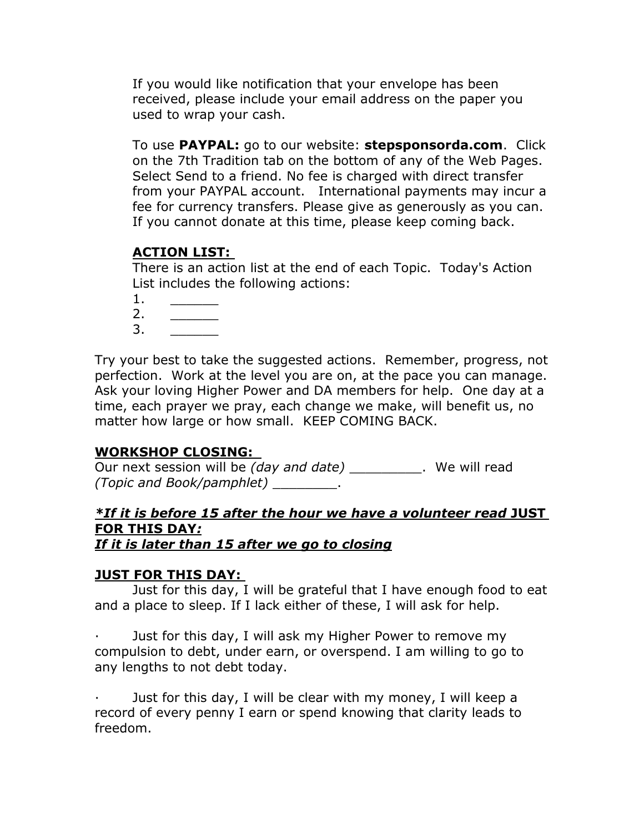If you would like notification that your envelope has been received, please include your email address on the paper you used to wrap your cash.

To use **PAYPAL:** go to our website: **stepsponsorda.com**. Click on the 7th Tradition tab on the bottom of any of the Web Pages. Select Send to a friend. No fee is charged with direct transfer from your PAYPAL account. International payments may incur a fee for currency transfers. Please give as generously as you can. If you cannot donate at this time, please keep coming back.

## **ACTION LIST:**

There is an action list at the end of each Topic. Today's Action List includes the following actions:

- $1.$
- 2. \_\_\_\_\_\_
- 3. \_\_\_\_\_\_

Try your best to take the suggested actions. Remember, progress, not perfection. Work at the level you are on, at the pace you can manage. Ask your loving Higher Power and DA members for help. One day at a time, each prayer we pray, each change we make, will benefit us, no matter how large or how small. KEEP COMING BACK.

#### **WORKSHOP CLOSING:**

Our next session will be *(day and date)* Number 2014 We will read *(Topic and Book/pamphlet)* \_\_\_\_\_\_\_\_.

# *\*If it is before 15 after the hour we have a volunteer read* **JUST FOR THIS DAY***:*

*If it is later than 15 after we go to closing*

#### **JUST FOR THIS DAY:**

Just for this day, I will be grateful that I have enough food to eat and a place to sleep. If I lack either of these, I will ask for help.

Just for this day, I will ask my Higher Power to remove my compulsion to debt, under earn, or overspend. I am willing to go to any lengths to not debt today.

Just for this day, I will be clear with my money, I will keep a record of every penny I earn or spend knowing that clarity leads to freedom.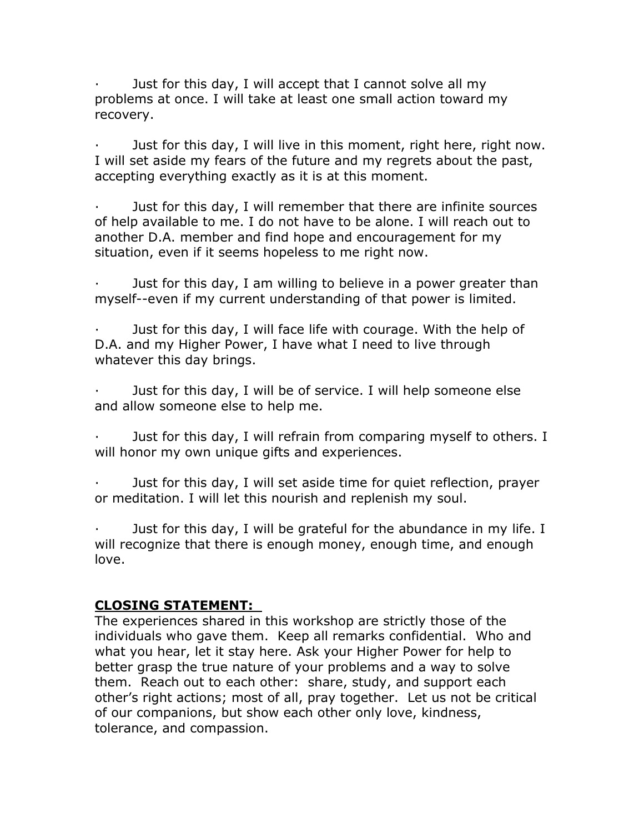Just for this day, I will accept that I cannot solve all my problems at once. I will take at least one small action toward my recovery.

Just for this day, I will live in this moment, right here, right now. I will set aside my fears of the future and my regrets about the past, accepting everything exactly as it is at this moment.

· Just for this day, I will remember that there are infinite sources of help available to me. I do not have to be alone. I will reach out to another D.A. member and find hope and encouragement for my situation, even if it seems hopeless to me right now.

Just for this day, I am willing to believe in a power greater than myself--even if my current understanding of that power is limited.

Just for this day, I will face life with courage. With the help of D.A. and my Higher Power, I have what I need to live through whatever this day brings.

Just for this day, I will be of service. I will help someone else and allow someone else to help me.

Just for this day, I will refrain from comparing myself to others. I will honor my own unique gifts and experiences.

Just for this day, I will set aside time for quiet reflection, prayer or meditation. I will let this nourish and replenish my soul.

Just for this day, I will be grateful for the abundance in my life. I will recognize that there is enough money, enough time, and enough love.

#### **CLOSING STATEMENT:**

The experiences shared in this workshop are strictly those of the individuals who gave them. Keep all remarks confidential. Who and what you hear, let it stay here. Ask your Higher Power for help to better grasp the true nature of your problems and a way to solve them. Reach out to each other: share, study, and support each other's right actions; most of all, pray together. Let us not be critical of our companions, but show each other only love, kindness, tolerance, and compassion.